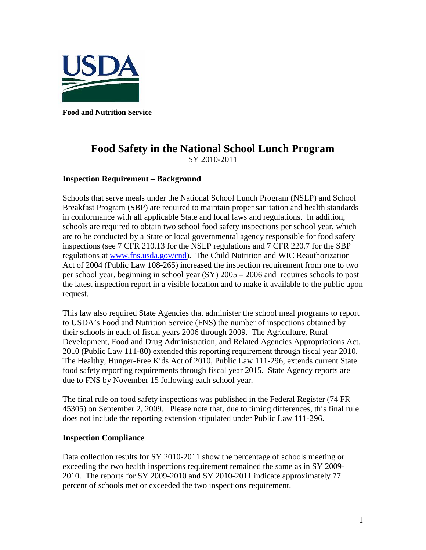

**Food and Nutrition Service** 

## **Food Safety in the National School Lunch Program** SY 2010-2011

## **Inspection Requirement – Background**

Schools that serve meals under the National School Lunch Program (NSLP) and School Breakfast Program (SBP) are required to maintain proper sanitation and health standards in conformance with all applicable State and local laws and regulations. In addition, schools are required to obtain two school food safety inspections per school year, which are to be conducted by a State or local governmental agency responsible for food safety inspections (see 7 CFR 210.13 for the NSLP regulations and 7 CFR 220.7 for the SBP regulations at [www.fns.usda.gov/cnd\)](http://www.fns.usda.gov/cnd). The Child Nutrition and WIC Reauthorization Act of 2004 (Public Law 108-265) increased the inspection requirement from one to two per school year, beginning in school year (SY) 2005 – 2006 and requires schools to post the latest inspection report in a visible location and to make it available to the public upon request.

This law also required State Agencies that administer the school meal programs to report to USDA's Food and Nutrition Service (FNS) the number of inspections obtained by their schools in each of fiscal years 2006 through 2009. The Agriculture, Rural Development, Food and Drug Administration, and Related Agencies Appropriations Act, 2010 (Public Law 111-80) extended this reporting requirement through fiscal year 2010. The Healthy, Hunger-Free Kids Act of 2010, Public Law 111-296, extends current State food safety reporting requirements through fiscal year 2015. State Agency reports are due to FNS by November 15 following each school year.

The final rule on food safety inspections was published in the Federal Register (74 FR 45305) on September 2, 2009. Please note that, due to timing differences, this final rule does not include the reporting extension stipulated under Public Law 111-296.

## **Inspection Compliance**

Data collection results for SY 2010-2011 show the percentage of schools meeting or exceeding the two health inspections requirement remained the same as in SY 2009- 2010. The reports for SY 2009-2010 and SY 2010-2011 indicate approximately 77 percent of schools met or exceeded the two inspections requirement.